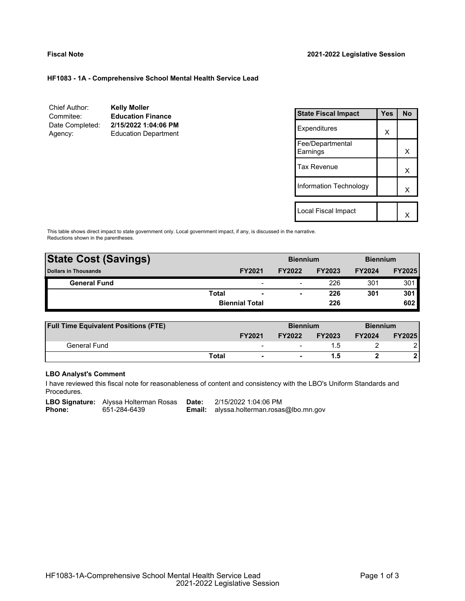#### **HF1083 - 1A - Comprehensive School Mental Health Service Lead**

| <b>Kelly Moller</b>         |
|-----------------------------|
| <b>Education Finance</b>    |
| 2/15/2022 1:04:06 PM        |
| <b>Education Department</b> |
|                             |

| <b>State Fiscal Impact</b>   | Yes | No |
|------------------------------|-----|----|
| Expenditures                 | X   |    |
| Fee/Departmental<br>Earnings |     | x  |
| Tax Revenue                  |     | x  |
| Information Technology       |     | x  |
|                              |     |    |
| Local Fiscal Impact          |     |    |

This table shows direct impact to state government only. Local government impact, if any, is discussed in the narrative. Reductions shown in the parentheses.

| <b>State Cost (Savings)</b> |              |                          | <b>Biennium</b> |               | <b>Biennium</b> |               |
|-----------------------------|--------------|--------------------------|-----------------|---------------|-----------------|---------------|
| <b>Dollars in Thousands</b> |              | <b>FY2021</b>            | <b>FY2022</b>   | <b>FY2023</b> | <b>FY2024</b>   | <b>FY2025</b> |
| <b>General Fund</b>         |              | $\overline{\phantom{0}}$ | -               | 226           | 301             | 301           |
|                             | <b>Total</b> | $\overline{\phantom{a}}$ |                 | 226           | 301             | 301           |
|                             |              | <b>Biennial Total</b>    |                 | 226           |                 | 602           |
|                             |              |                          |                 |               |                 |               |

| <b>Full Time Equivalent Positions (FTE)</b> |       |                          | <b>Biennium</b> |               | <b>Biennium</b> |               |
|---------------------------------------------|-------|--------------------------|-----------------|---------------|-----------------|---------------|
|                                             |       | <b>FY2021</b>            | <b>FY2022</b>   | <b>FY2023</b> | <b>FY2024</b>   | <b>FY2025</b> |
| General Fund                                |       | $\overline{\phantom{a}}$ |                 |               |                 |               |
|                                             | Total | $\blacksquare$           |                 |               |                 |               |

# **LBO Analyst's Comment**

I have reviewed this fiscal note for reasonableness of content and consistency with the LBO's Uniform Standards and Procedures.

**LBO Signature:** Alyssa Holterman Rosas **Date:** 2/15/2022 1:04:06 PM<br>**Phone:** 651-284-6439 **Email:** alyssa.holterman.rosas

**Email:** alyssa.holterman.rosas@lbo.mn.gov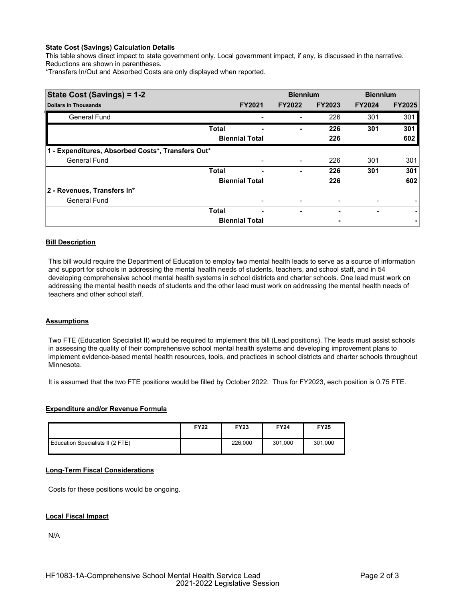# **State Cost (Savings) Calculation Details**

This table shows direct impact to state government only. Local government impact, if any, is discussed in the narrative. Reductions are shown in parentheses.

\*Transfers In/Out and Absorbed Costs are only displayed when reported.

| State Cost (Savings) = 1-2                        |              |                       | <b>Biennium</b> |               | <b>Biennium</b> |               |
|---------------------------------------------------|--------------|-----------------------|-----------------|---------------|-----------------|---------------|
| <b>Dollars in Thousands</b>                       |              | <b>FY2021</b>         | <b>FY2022</b>   | <b>FY2023</b> | <b>FY2024</b>   | <b>FY2025</b> |
| <b>General Fund</b>                               |              |                       |                 | 226           | 301             | 301           |
|                                                   | <b>Total</b> |                       | -               | 226           | 301             | 301           |
|                                                   |              | <b>Biennial Total</b> |                 | 226           |                 | 602           |
| 1 - Expenditures, Absorbed Costs*, Transfers Out* |              |                       |                 |               |                 |               |
| <b>General Fund</b>                               |              |                       |                 | 226           | 301             | 301           |
|                                                   | <b>Total</b> |                       | ۰               | 226           | 301             | 301           |
|                                                   |              | <b>Biennial Total</b> |                 | 226           |                 | 602           |
| 2 - Revenues, Transfers In*                       |              |                       |                 |               |                 |               |
| <b>General Fund</b>                               |              |                       |                 |               |                 |               |
|                                                   | <b>Total</b> | ۰                     | ۰               |               | ٠               | ۰             |
|                                                   |              | <b>Biennial Total</b> |                 |               |                 |               |

# **Bill Description**

This bill would require the Department of Education to employ two mental health leads to serve as a source of information and support for schools in addressing the mental health needs of students, teachers, and school staff, and in 54 developing comprehensive school mental health systems in school districts and charter schools. One lead must work on addressing the mental health needs of students and the other lead must work on addressing the mental health needs of teachers and other school staff.

#### **Assumptions**

Two FTE (Education Specialist II) would be required to implement this bill (Lead positions). The leads must assist schools in assessing the quality of their comprehensive school mental health systems and developing improvement plans to implement evidence-based mental health resources, tools, and practices in school districts and charter schools throughout Minnesota.

It is assumed that the two FTE positions would be filled by October 2022. Thus for FY2023, each position is 0.75 FTE.

# **Expenditure and/or Revenue Formula**

|                                  | <b>FY22</b> | <b>FY23</b> | <b>FY24</b> | <b>FY25</b> |
|----------------------------------|-------------|-------------|-------------|-------------|
| Education Specialists II (2 FTE) |             | 226,000     | 301,000     | 301,000     |

#### **Long-Term Fiscal Considerations**

Costs for these positions would be ongoing.

#### **Local Fiscal Impact**

N/A